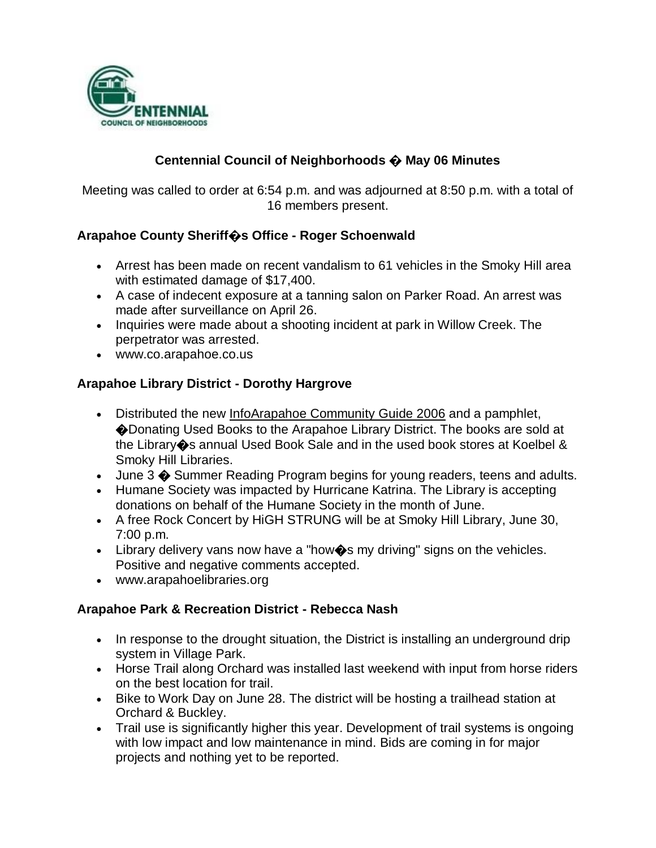

## **Centennial Council of Neighborhoods � May 06 Minutes**

Meeting was called to order at 6:54 p.m. and was adjourned at 8:50 p.m. with a total of 16 members present.

### **Arapahoe County Sheriff�s Office - Roger Schoenwald**

- Arrest has been made on recent vandalism to 61 vehicles in the Smoky Hill area with estimated damage of \$17,400.
- A case of indecent exposure at a tanning salon on Parker Road. An arrest was made after surveillance on April 26.
- Inquiries were made about a shooting incident at park in Willow Creek. The perpetrator was arrested.
- www.co.arapahoe.co.us

### **Arapahoe Library District - Dorothy Hargrove**

- Distributed the new InfoArapahoe Community Guide 2006 and a pamphlet, �Donating Used Books to the Arapahoe Library District. The books are sold at the Library�s annual Used Book Sale and in the used book stores at Koelbel & Smoky Hill Libraries.
- June 3  $\spadesuit$  Summer Reading Program begins for young readers, teens and adults.
- Humane Society was impacted by Hurricane Katrina. The Library is accepting donations on behalf of the Humane Society in the month of June.
- A free Rock Concert by HiGH STRUNG will be at Smoky Hill Library, June 30, 7:00 p.m.
- Library delivery vans now have a "how $\clubsuit$ s my driving" signs on the vehicles. Positive and negative comments accepted.
- www.arapahoelibraries.org

#### **Arapahoe Park & Recreation District - Rebecca Nash**

- In response to the drought situation, the District is installing an underground drip system in Village Park.
- Horse Trail along Orchard was installed last weekend with input from horse riders on the best location for trail.
- Bike to Work Day on June 28. The district will be hosting a trailhead station at Orchard & Buckley.
- Trail use is significantly higher this year. Development of trail systems is ongoing with low impact and low maintenance in mind. Bids are coming in for major projects and nothing yet to be reported.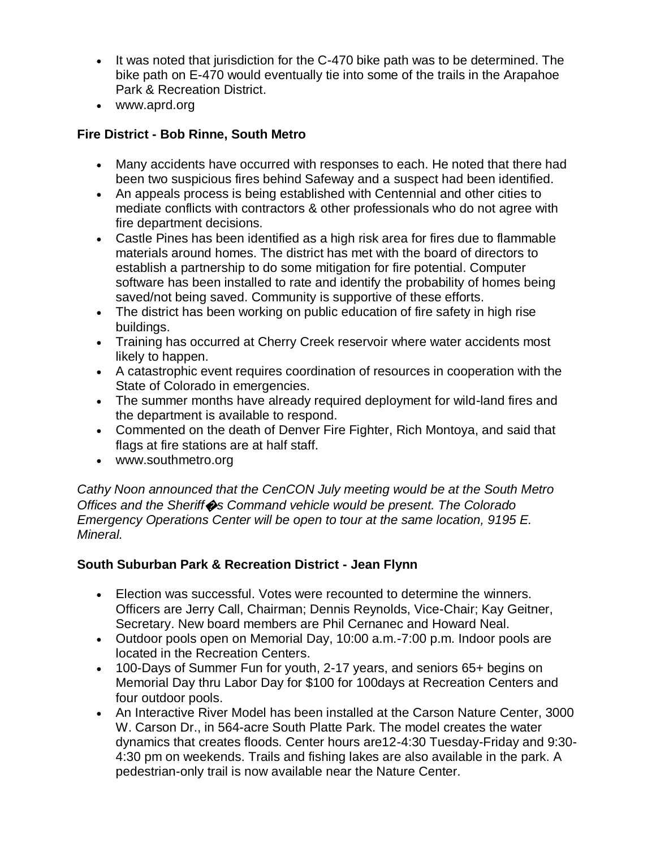- It was noted that jurisdiction for the C-470 bike path was to be determined. The bike path on E-470 would eventually tie into some of the trails in the Arapahoe Park & Recreation District.
- www.aprd.org

## **Fire District - Bob Rinne, South Metro**

- Many accidents have occurred with responses to each. He noted that there had been two suspicious fires behind Safeway and a suspect had been identified.
- An appeals process is being established with Centennial and other cities to mediate conflicts with contractors & other professionals who do not agree with fire department decisions.
- Castle Pines has been identified as a high risk area for fires due to flammable materials around homes. The district has met with the board of directors to establish a partnership to do some mitigation for fire potential. Computer software has been installed to rate and identify the probability of homes being saved/not being saved. Community is supportive of these efforts.
- The district has been working on public education of fire safety in high rise buildings.
- Training has occurred at Cherry Creek reservoir where water accidents most likely to happen.
- A catastrophic event requires coordination of resources in cooperation with the State of Colorado in emergencies.
- The summer months have already required deployment for wild-land fires and the department is available to respond.
- Commented on the death of Denver Fire Fighter, Rich Montoya, and said that flags at fire stations are at half staff.
- www.southmetro.org

*Cathy Noon announced that the CenCON July meeting would be at the South Metro Offices and the Sheriff*�*s Command vehicle would be present. The Colorado Emergency Operations Center will be open to tour at the same location, 9195 E. Mineral.*

# **South Suburban Park & Recreation District - Jean Flynn**

- Election was successful. Votes were recounted to determine the winners. Officers are Jerry Call, Chairman; Dennis Reynolds, Vice-Chair; Kay Geitner, Secretary. New board members are Phil Cernanec and Howard Neal.
- Outdoor pools open on Memorial Day, 10:00 a.m.-7:00 p.m. Indoor pools are located in the Recreation Centers.
- 100-Days of Summer Fun for youth, 2-17 years, and seniors 65+ begins on Memorial Day thru Labor Day for \$100 for 100days at Recreation Centers and four outdoor pools.
- An Interactive River Model has been installed at the Carson Nature Center, 3000 W. Carson Dr., in 564-acre South Platte Park. The model creates the water dynamics that creates floods. Center hours are12-4:30 Tuesday-Friday and 9:30- 4:30 pm on weekends. Trails and fishing lakes are also available in the park. A pedestrian-only trail is now available near the Nature Center.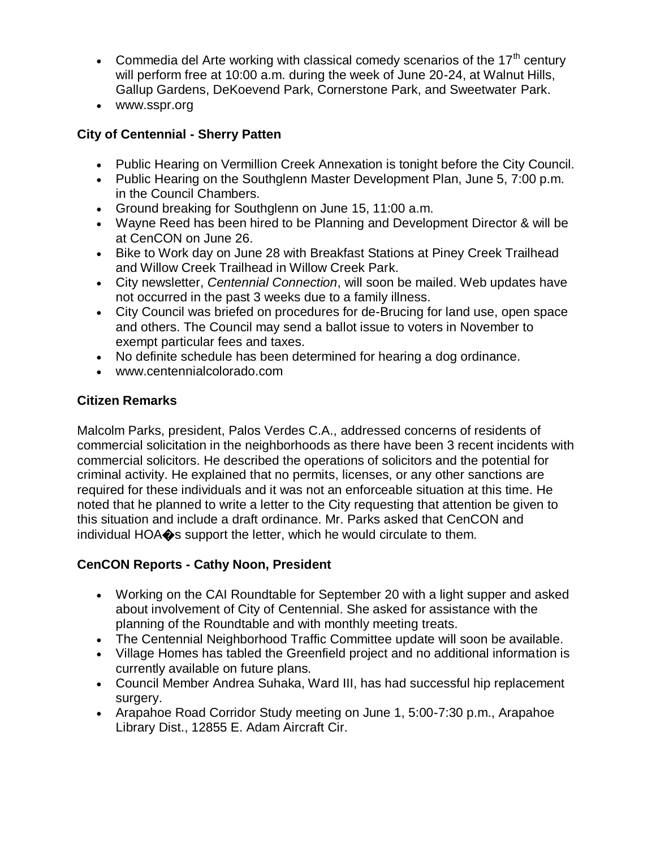- Commedia del Arte working with classical comedy scenarios of the  $17<sup>th</sup>$  century will perform free at 10:00 a.m. during the week of June 20-24, at Walnut Hills, Gallup Gardens, DeKoevend Park, Cornerstone Park, and Sweetwater Park.
- www.sspr.org

### **City of Centennial - Sherry Patten**

- Public Hearing on Vermillion Creek Annexation is tonight before the City Council.
- Public Hearing on the Southglenn Master Development Plan, June 5, 7:00 p.m. in the Council Chambers.
- Ground breaking for Southglenn on June 15, 11:00 a.m.
- Wayne Reed has been hired to be Planning and Development Director & will be at CenCON on June 26.
- Bike to Work day on June 28 with Breakfast Stations at Piney Creek Trailhead and Willow Creek Trailhead in Willow Creek Park.
- City newsletter, *Centennial Connection*, will soon be mailed. Web updates have not occurred in the past 3 weeks due to a family illness.
- City Council was briefed on procedures for de-Brucing for land use, open space and others. The Council may send a ballot issue to voters in November to exempt particular fees and taxes.
- No definite schedule has been determined for hearing a dog ordinance.
- www.centennialcolorado.com

### **Citizen Remarks**

Malcolm Parks, president, Palos Verdes C.A., addressed concerns of residents of commercial solicitation in the neighborhoods as there have been 3 recent incidents with commercial solicitors. He described the operations of solicitors and the potential for criminal activity. He explained that no permits, licenses, or any other sanctions are required for these individuals and it was not an enforceable situation at this time. He noted that he planned to write a letter to the City requesting that attention be given to this situation and include a draft ordinance. Mr. Parks asked that CenCON and individual HOA�s support the letter, which he would circulate to them.

### **CenCON Reports - Cathy Noon, President**

- Working on the CAI Roundtable for September 20 with a light supper and asked about involvement of City of Centennial. She asked for assistance with the planning of the Roundtable and with monthly meeting treats.
- The Centennial Neighborhood Traffic Committee update will soon be available.
- Village Homes has tabled the Greenfield project and no additional information is currently available on future plans.
- Council Member Andrea Suhaka, Ward III, has had successful hip replacement surgery.
- Arapahoe Road Corridor Study meeting on June 1, 5:00-7:30 p.m., Arapahoe Library Dist., 12855 E. Adam Aircraft Cir.